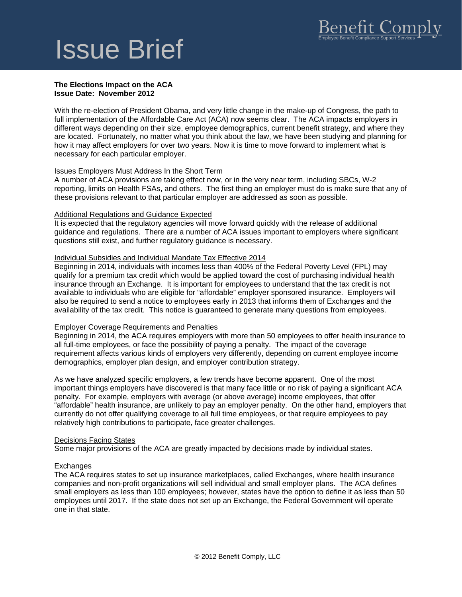### **The Elections Impact on the ACA Issue Date: November 2012**

With the re-election of President Obama, and very little change in the make-up of Congress, the path to full implementation of the Affordable Care Act (ACA) now seems clear. The ACA impacts employers in different ways depending on their size, employee demographics, current benefit strategy, and where they are located. Fortunately, no matter what you think about the law, we have been studying and planning for how it may affect employers for over two years. Now it is time to move forward to implement what is necessary for each particular employer.

### Issues Employers Must Address In the Short Term

A number of ACA provisions are taking effect now, or in the very near term, including SBCs, W-2 reporting, limits on Health FSAs, and others. The first thing an employer must do is make sure that any of these provisions relevant to that particular employer are addressed as soon as possible.

### Additional Regulations and Guidance Expected

It is expected that the regulatory agencies will move forward quickly with the release of additional guidance and regulations. There are a number of ACA issues important to employers where significant questions still exist, and further regulatory guidance is necessary.

# Individual Subsidies and Individual Mandate Tax Effective 2014

Beginning in 2014, individuals with incomes less than 400% of the Federal Poverty Level (FPL) may qualify for a premium tax credit which would be applied toward the cost of purchasing individual health insurance through an Exchange. It is important for employees to understand that the tax credit is not available to individuals who are eligible for "affordable" employer sponsored insurance. Employers will also be required to send a notice to employees early in 2013 that informs them of Exchanges and the availability of the tax credit. This notice is guaranteed to generate many questions from employees.

### Employer Coverage Requirements and Penalties

Beginning in 2014, the ACA requires employers with more than 50 employees to offer health insurance to all full-time employees, or face the possibility of paying a penalty. The impact of the coverage requirement affects various kinds of employers very differently, depending on current employee income demographics, employer plan design, and employer contribution strategy.

As we have analyzed specific employers, a few trends have become apparent. One of the most important things employers have discovered is that many face little or no risk of paying a significant ACA penalty. For example, employers with average (or above average) income employees, that offer "affordable" health insurance, are unlikely to pay an employer penalty. On the other hand, employers that currently do not offer qualifying coverage to all full time employees, or that require employees to pay relatively high contributions to participate, face greater challenges.

### Decisions Facing States

Some major provisions of the ACA are greatly impacted by decisions made by individual states.

# **Exchanges**

The ACA requires states to set up insurance marketplaces, called Exchanges, where health insurance companies and non-profit organizations will sell individual and small employer plans. The ACA defines small employers as less than 100 employees; however, states have the option to define it as less than 50 employees until 2017. If the state does not set up an Exchange, the Federal Government will operate one in that state.